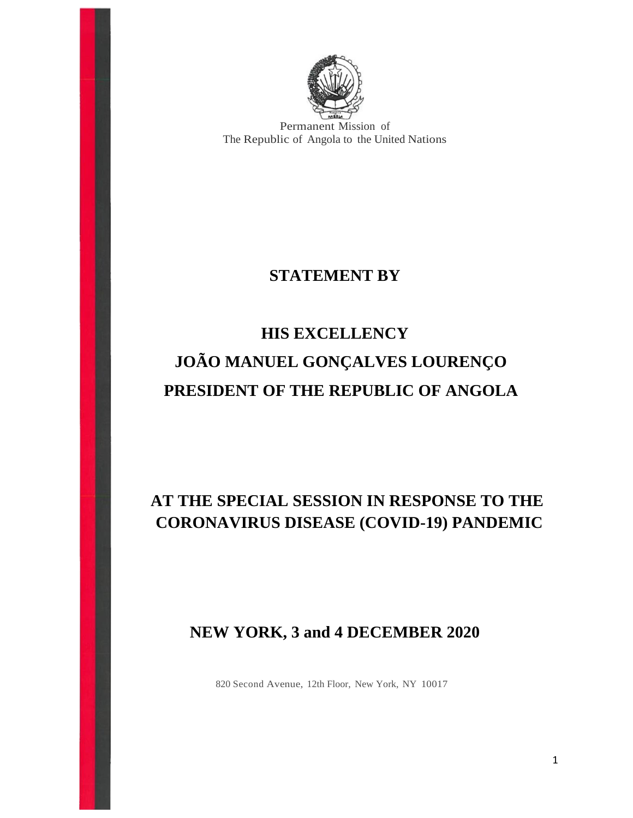

Permanent Mission of The Republic of Angola to the United Nations

## **STATEMENT BY**

## **HIS EXCELLENCY JOÃO MANUEL GONÇALVES LOURENÇO PRESIDENT OF THE REPUBLIC OF ANGOLA**

## **AT THE SPECIAL SESSION IN RESPONSE TO THE CORONAVIRUS DISEASE (COVID-19) PANDEMIC**

## **NEW YORK, 3 and 4 DECEMBER 2020**

820 Second Avenue, 12th Floor, New York, NY 10017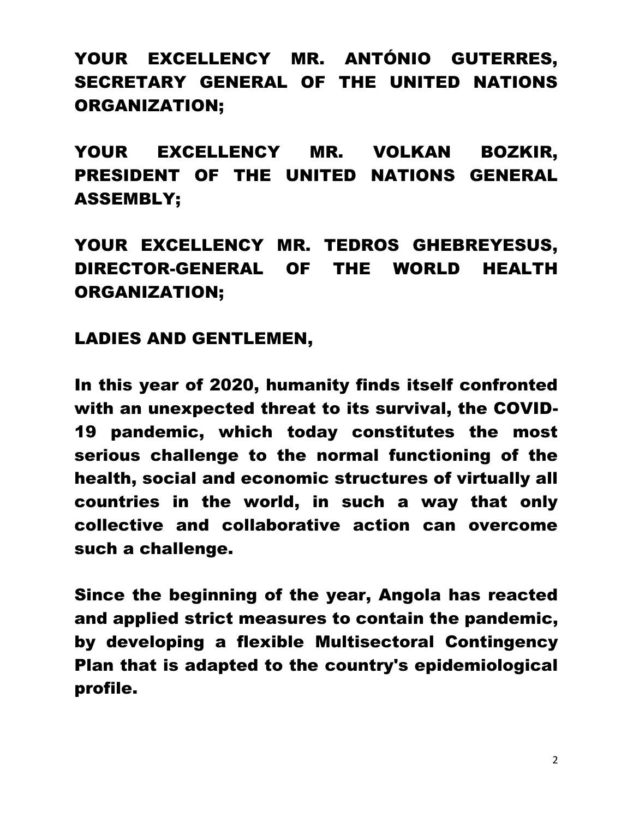YOUR EXCELLENCY MR. ANTÓNIO GUTERRES, SECRETARY GENERAL OF THE UNITED NATIONS ORGANIZATION;

YOUR EXCELLENCY MR. VOLKAN BOZKIR, PRESIDENT OF THE UNITED NATIONS GENERAL ASSEMBLY;

YOUR EXCELLENCY MR. TEDROS GHEBREYESUS, DIRECTOR-GENERAL OF THE WORLD HEALTH ORGANIZATION;

LADIES AND GENTLEMEN,

In this year of 2020, humanity finds itself confronted with an unexpected threat to its survival, the COVID-19 pandemic, which today constitutes the most serious challenge to the normal functioning of the health, social and economic structures of virtually all countries in the world, in such a way that only collective and collaborative action can overcome such a challenge.

Since the beginning of the year, Angola has reacted and applied strict measures to contain the pandemic, by developing a flexible Multisectoral Contingency Plan that is adapted to the country's epidemiological profile.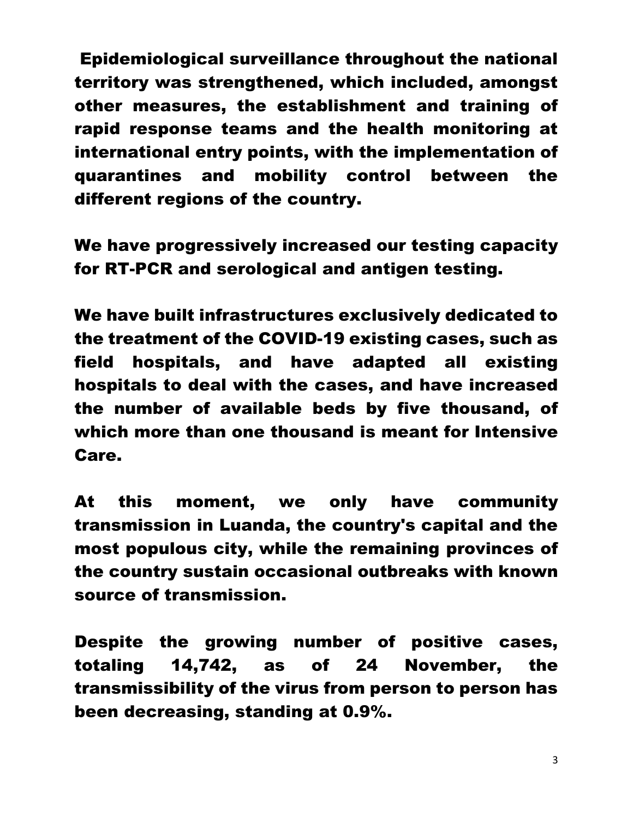Epidemiological surveillance throughout the national territory was strengthened, which included, amongst other measures, the establishment and training of rapid response teams and the health monitoring at international entry points, with the implementation of quarantines and mobility control between the different regions of the country.

We have progressively increased our testing capacity for RT-PCR and serological and antigen testing.

We have built infrastructures exclusively dedicated to the treatment of the COVID-19 existing cases, such as field hospitals, and have adapted all existing hospitals to deal with the cases, and have increased the number of available beds by five thousand, of which more than one thousand is meant for Intensive Care.

At this moment, we only have community transmission in Luanda, the country's capital and the most populous city, while the remaining provinces of the country sustain occasional outbreaks with known source of transmission.

Despite the growing number of positive cases, totaling 14,742, as of 24 November, the transmissibility of the virus from person to person has been decreasing, standing at 0.9%.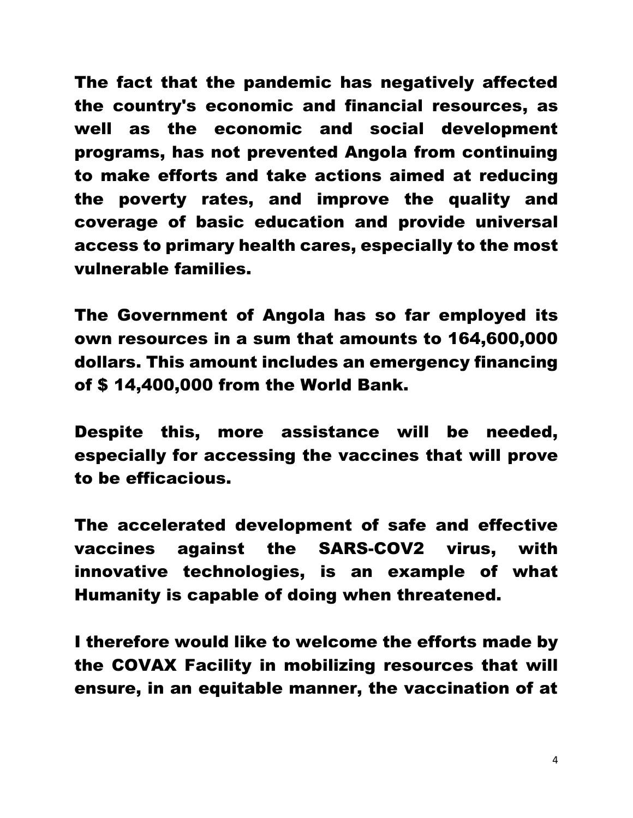The fact that the pandemic has negatively affected the country's economic and financial resources, as well as the economic and social development programs, has not prevented Angola from continuing to make efforts and take actions aimed at reducing the poverty rates, and improve the quality and coverage of basic education and provide universal access to primary health cares, especially to the most vulnerable families.

The Government of Angola has so far employed its own resources in a sum that amounts to 164,600,000 dollars. This amount includes an emergency financing of \$ 14,400,000 from the World Bank.

Despite this, more assistance will be needed, especially for accessing the vaccines that will prove to be efficacious.

The accelerated development of safe and effective vaccines against the SARS-COV2 virus, with innovative technologies, is an example of what Humanity is capable of doing when threatened.

I therefore would like to welcome the efforts made by the COVAX Facility in mobilizing resources that will ensure, in an equitable manner, the vaccination of at